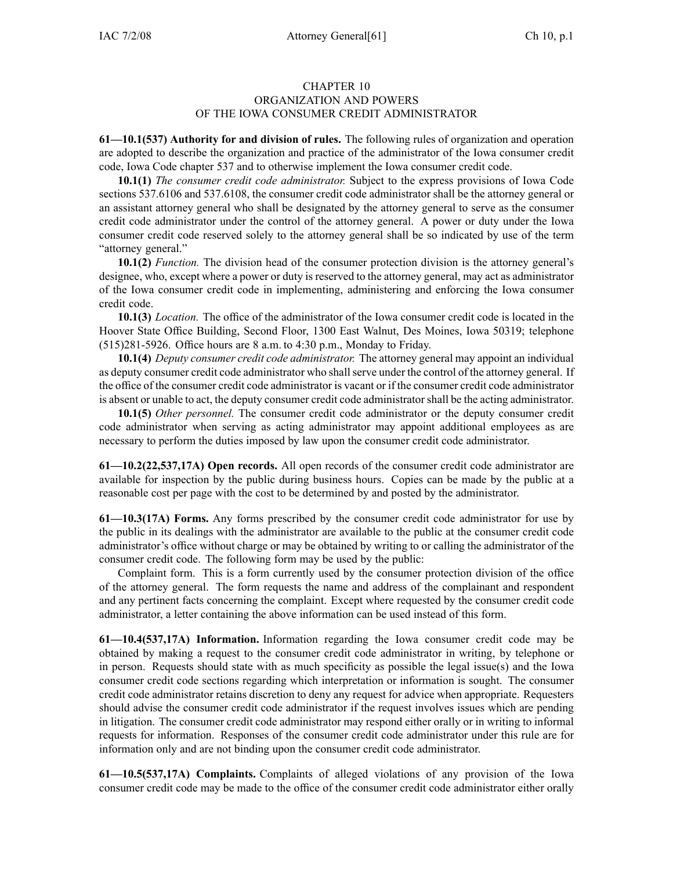## CHAPTER 10 ORGANIZATION AND POWERS OF THE IOWA CONSUMER CREDIT ADMINISTRATOR

**61—10.1(537) Authority for and division of rules.** The following rules of organization and operation are adopted to describe the organization and practice of the administrator of the Iowa consumer credit code, Iowa Code chapter 537 and to otherwise implement the Iowa consumer credit code.

**10.1(1)** *The consumer credit code administrator.* Subject to the express provisions of Iowa Code sections 537.6106 and 537.6108, the consumer credit code administrator shall be the attorney general or an assistant attorney general who shall be designated by the attorney general to serve as the consumer credit code administrator under the control of the attorney general. A power or duty under the Iowa consumer credit code reserved solely to the attorney general shall be so indicated by use of the term "attorney general."

**10.1(2)** *Function.* The division head of the consumer protection division is the attorney general's designee, who, excep<sup>t</sup> where <sup>a</sup> power or duty is reserved to the attorney general, may act as administrator of the Iowa consumer credit code in implementing, administering and enforcing the Iowa consumer credit code.

**10.1(3)** *Location.* The office of the administrator of the Iowa consumer credit code is located in the Hoover State Office Building, Second Floor, 1300 East Walnut, Des Moines, Iowa 50319; telephone (515)281-5926. Office hours are 8 a.m. to 4:30 p.m., Monday to Friday.

**10.1(4)** *Deputy consumer credit code administrator.* The attorney general may appoint an individual as deputy consumer credit code administrator who shall serve under the control of the attorney general. If the office of the consumer credit code administrator is vacant or if the consumer credit code administrator is absent or unable to act, the deputy consumer credit code administratorshall be the acting administrator.

**10.1(5)** *Other personnel.* The consumer credit code administrator or the deputy consumer credit code administrator when serving as acting administrator may appoint additional employees as are necessary to perform the duties imposed by law upon the consumer credit code administrator.

**61—10.2(22,537,17A) Open records.** All open records of the consumer credit code administrator are available for inspection by the public during business hours. Copies can be made by the public at <sup>a</sup> reasonable cost per page with the cost to be determined by and posted by the administrator.

**61—10.3(17A) Forms.** Any forms prescribed by the consumer credit code administrator for use by the public in its dealings with the administrator are available to the public at the consumer credit code administrator's office without charge or may be obtained by writing to or calling the administrator of the consumer credit code. The following form may be used by the public:

Complaint form. This is <sup>a</sup> form currently used by the consumer protection division of the office of the attorney general. The form requests the name and address of the complainant and respondent and any pertinent facts concerning the complaint. Except where requested by the consumer credit code administrator, <sup>a</sup> letter containing the above information can be used instead of this form.

**61—10.4(537,17A) Information.** Information regarding the Iowa consumer credit code may be obtained by making <sup>a</sup> reques<sup>t</sup> to the consumer credit code administrator in writing, by telephone or in person. Requests should state with as much specificity as possible the legal issue(s) and the Iowa consumer credit code sections regarding which interpretation or information is sought. The consumer credit code administrator retains discretion to deny any reques<sup>t</sup> for advice when appropriate. Requesters should advise the consumer credit code administrator if the reques<sup>t</sup> involves issues which are pending in litigation. The consumer credit code administrator may respond either orally or in writing to informal requests for information. Responses of the consumer credit code administrator under this rule are for information only and are not binding upon the consumer credit code administrator.

**61—10.5(537,17A) Complaints.** Complaints of alleged violations of any provision of the Iowa consumer credit code may be made to the office of the consumer credit code administrator either orally